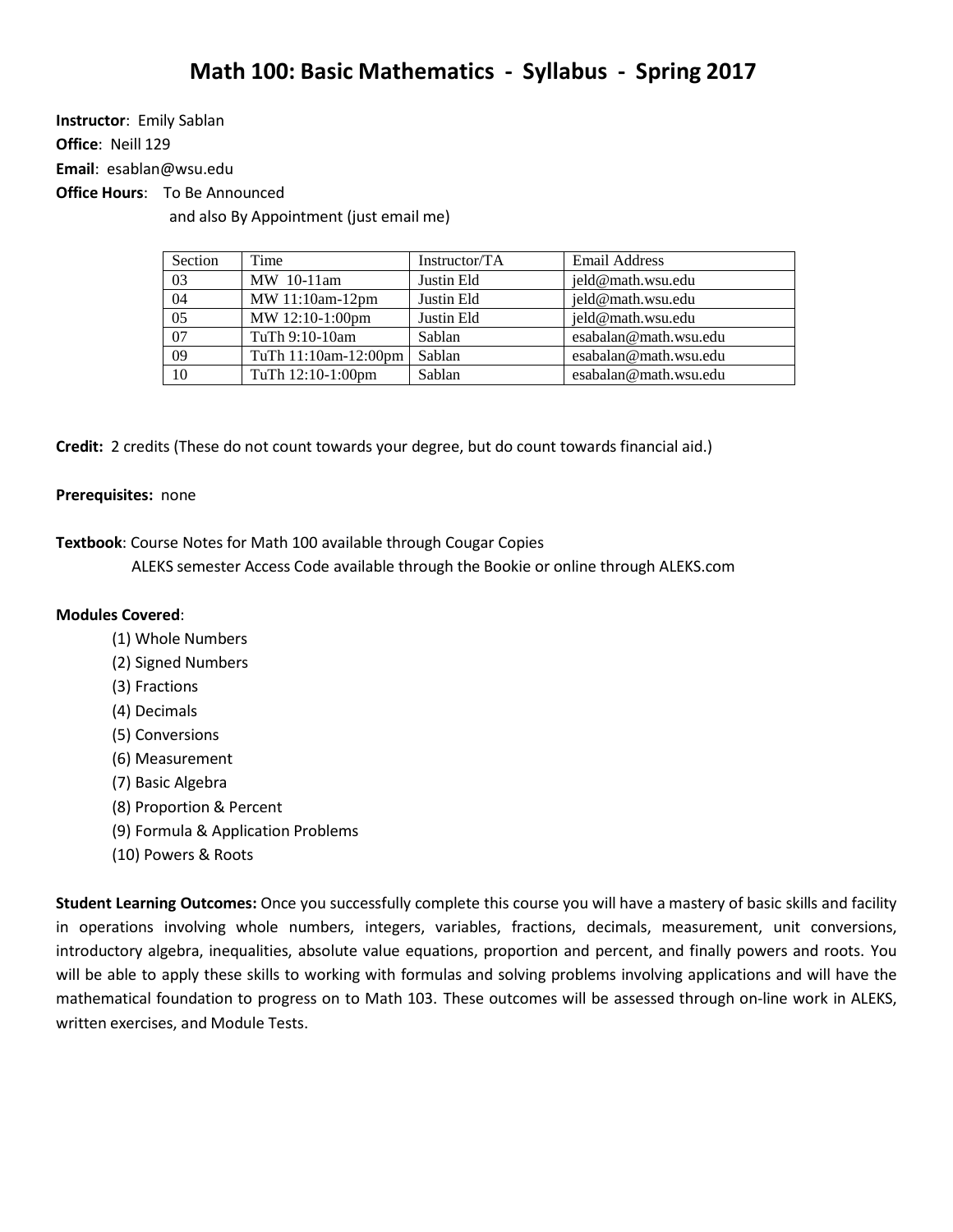**Instructor**: Emily Sablan **Office**: Neill 129

**Email**: [esablan@wsu.edu](mailto:esablan@wsu.edu)

**Office Hours**: To Be Announced

and also By Appointment (just email me)

| Section | Time                 | Instructor/TA | Email Address         |
|---------|----------------------|---------------|-----------------------|
| 03      | MW 10-11am           | Justin Eld    | jeld@math.wsu.edu     |
| 04      | MW 11:10am-12pm      | Justin Eld    | jeld@math.wsu.edu     |
| 05      | MW 12:10-1:00pm      | Justin Eld    | jeld@math.wsu.edu     |
| 07      | TuTh 9:10-10am       | Sablan        | esabalan@math.wsu.edu |
| 09      | TuTh 11:10am-12:00pm | Sablan        | esabalan@math.wsu.edu |
| 10      | TuTh 12:10-1:00pm    | Sablan        | esabalan@math.wsu.edu |

**Credit:** 2 credits (These do not count towards your degree, but do count towards financial aid.)

## **Prerequisites:** none

**Textbook**: Course Notes for Math 100 available through Cougar Copies

ALEKS semester Access Code available through the Bookie or online through ALEKS.com

## **Modules Covered**:

- (1) Whole Numbers
- (2) Signed Numbers
- (3) Fractions
- (4) Decimals
- (5) Conversions
- (6) Measurement
- (7) Basic Algebra
- (8) Proportion & Percent
- (9) Formula & Application Problems
- (10) Powers & Roots

**Student Learning Outcomes:** Once you successfully complete this course you will have a mastery of basic skills and facility in operations involving whole numbers, integers, variables, fractions, decimals, measurement, unit conversions, introductory algebra, inequalities, absolute value equations, proportion and percent, and finally powers and roots. You will be able to apply these skills to working with formulas and solving problems involving applications and will have the mathematical foundation to progress on to Math 103. These outcomes will be assessed through on-line work in ALEKS, written exercises, and Module Tests.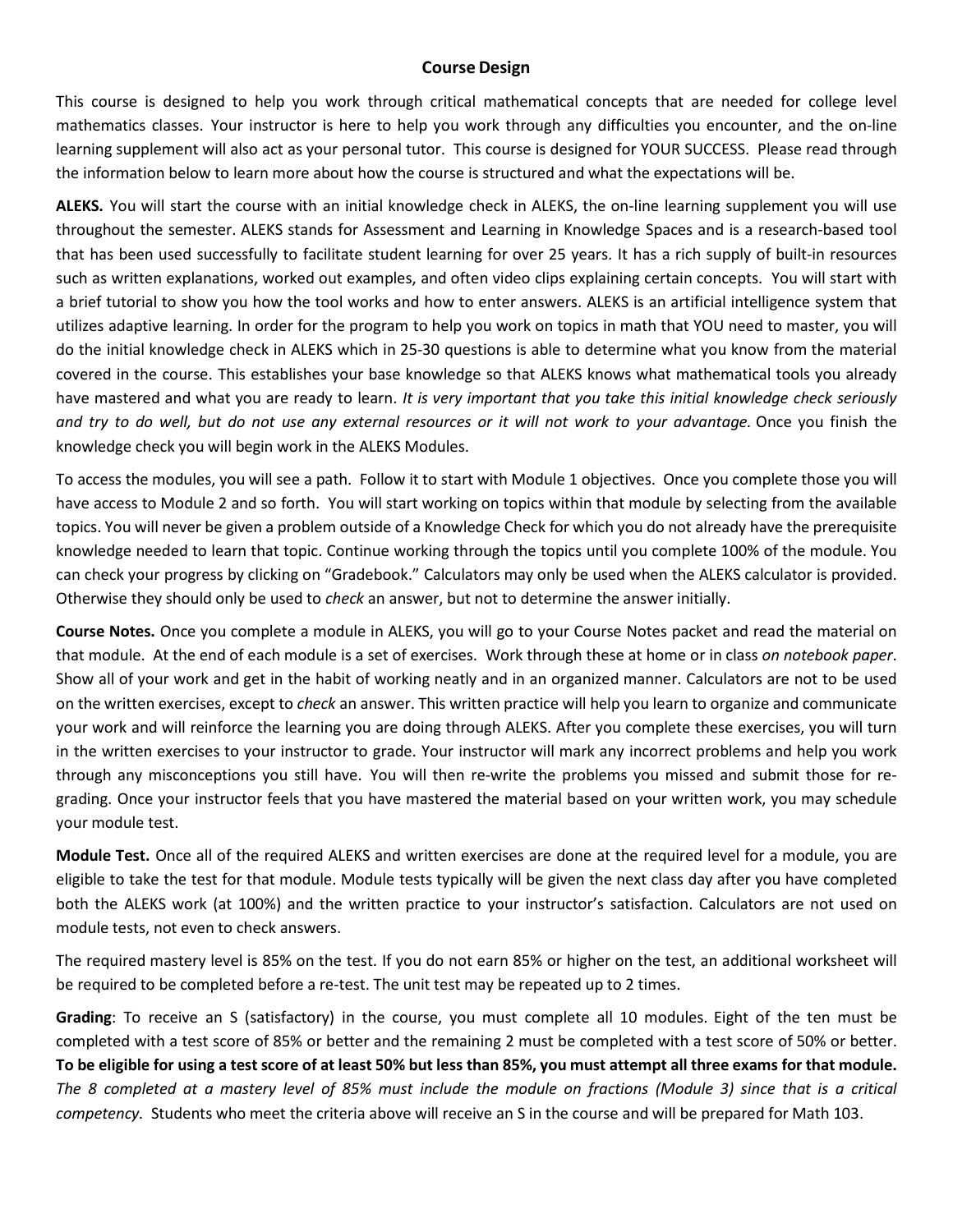## **Course Design**

This course is designed to help you work through critical mathematical concepts that are needed for college level mathematics classes. Your instructor is here to help you work through any difficulties you encounter, and the on-line learning supplement will also act as your personal tutor. This course is designed for YOUR SUCCESS. Please read through the information below to learn more about how the course is structured and what the expectations will be.

**ALEKS.** You will start the course with an initial knowledge check in ALEKS, the on-line learning supplement you will use throughout the semester. ALEKS stands for Assessment and Learning in Knowledge Spaces and is a research-based tool that has been used successfully to facilitate student learning for over 25 years. It has a rich supply of built-in resources such as written explanations, worked out examples, and often video clips explaining certain concepts. You will start with a brief tutorial to show you how the tool works and how to enter answers. ALEKS is an artificial intelligence system that utilizes adaptive learning. In order for the program to help you work on topics in math that YOU need to master, you will do the initial knowledge check in ALEKS which in 25-30 questions is able to determine what you know from the material covered in the course. This establishes your base knowledge so that ALEKS knows what mathematical tools you already have mastered and what you are ready to learn. *It is very important that you take this initial knowledge check seriously* and try to do well, but do not use any external resources or it will not work to your advantage. Once you finish the knowledge check you will begin work in the ALEKS Modules.

To access the modules, you will see a path. Follow it to start with Module 1 objectives. Once you complete those you will have access to Module 2 and so forth. You will start working on topics within that module by selecting from the available topics. You will never be given a problem outside of a Knowledge Check for which you do not already have the prerequisite knowledge needed to learn that topic. Continue working through the topics until you complete 100% of the module. You can check your progress by clicking on "Gradebook." Calculators may only be used when the ALEKS calculator is provided. Otherwise they should only be used to *check* an answer, but not to determine the answer initially.

**Course Notes.** Once you complete a module in ALEKS, you will go to your Course Notes packet and read the material on that module. At the end of each module is a set of exercises. Work through these at home or in class *on notebook paper*. Show all of your work and get in the habit of working neatly and in an organized manner. Calculators are not to be used on the written exercises, except to *check* an answer. This written practice will help you learn to organize and communicate your work and will reinforce the learning you are doing through ALEKS. After you complete these exercises, you will turn in the written exercises to your instructor to grade. Your instructor will mark any incorrect problems and help you work through any misconceptions you still have. You will then re-write the problems you missed and submit those for regrading. Once your instructor feels that you have mastered the material based on your written work, you may schedule your module test.

**Module Test.** Once all of the required ALEKS and written exercises are done at the required level for a module, you are eligible to take the test for that module. Module tests typically will be given the next class day after you have completed both the ALEKS work (at 100%) and the written practice to your instructor's satisfaction. Calculators are not used on module tests, not even to check answers.

The required mastery level is 85% on the test. If you do not earn 85% or higher on the test, an additional worksheet will be required to be completed before a re-test. The unit test may be repeated up to 2 times.

**Grading**: To receive an S (satisfactory) in the course, you must complete all 10 modules. Eight of the ten must be completed with a test score of 85% or better and the remaining 2 must be completed with a test score of 50% or better. To be eligible for using a test score of at least 50% but less than 85%, you must attempt all three exams for that module. The 8 completed at a mastery level of 85% must include the module on fractions (Module 3) since that is a critical *competency.* Students who meet the criteria above will receive an S in the course and will be prepared for Math 103.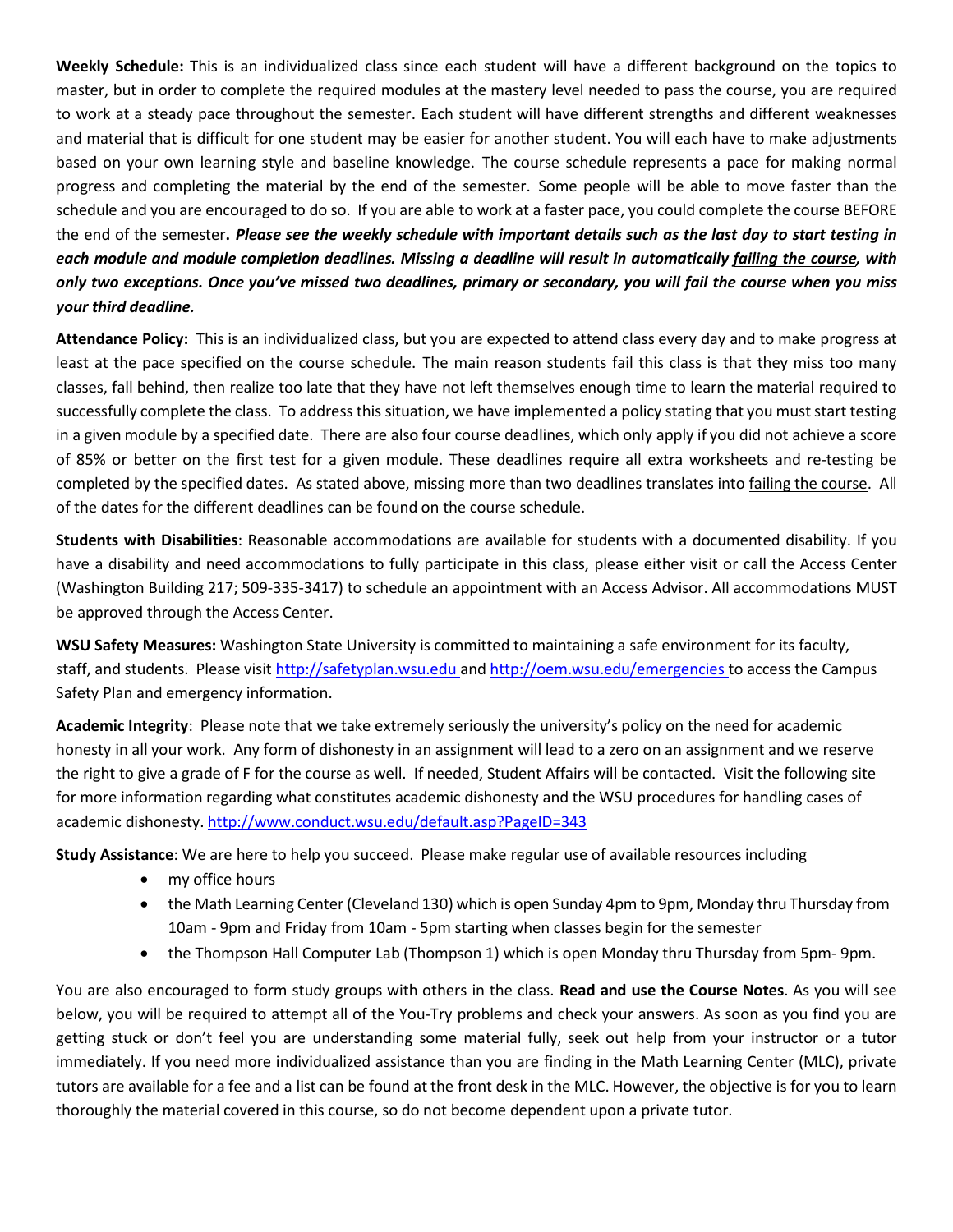**Weekly Schedule:** This is an individualized class since each student will have a different background on the topics to master, but in order to complete the required modules at the mastery level needed to pass the course, you are required to work at a steady pace throughout the semester. Each student will have different strengths and different weaknesses and material that is difficult for one student may be easier for another student. You will each have to make adjustments based on your own learning style and baseline knowledge. The course schedule represents a pace for making normal progress and completing the material by the end of the semester. Some people will be able to move faster than the schedule and you are encouraged to do so. If you are able to work at a faster pace, you could complete the course BEFORE the end of the semester. Please see the weekly schedule with important details such as the last day to start testing in each module and module completion deadlines. Missing a deadline will result in automatically failing the course, with only two exceptions. Once you've missed two deadlines, primary or secondary, you will fail the course when you miss *your third deadline.*

**Attendance Policy:** This is an individualized class, but you are expected to attend class every day and to make progress at least at the pace specified on the course schedule. The main reason students fail this class is that they miss too many classes, fall behind, then realize too late that they have not left themselves enough time to learn the material required to successfully complete the class. To address this situation, we have implemented a policy stating that you must start testing in a given module by a specified date. There are also four course deadlines, which only apply if you did not achieve a score of 85% or better on the first test for a given module. These deadlines require all extra worksheets and re-testing be completed by the specified dates. As stated above, missing more than two deadlines translates into failing the course. All of the dates for the different deadlines can be found on the course schedule.

**Students with Disabilities**: Reasonable accommodations are available for students with a documented disability. If you have a disability and need accommodations to fully participate in this class, please either visit or call the Access Center (Washington Building 217; 509-335-3417) to schedule an appointment with an Access Advisor. All accommodations MUST be approved through the Access Center.

**WSU Safety Measures:** Washington State University is committed to maintaining a safe environment for its faculty, staff, and students. Please visit [http://safetyplan.wsu.edu](http://safetyplan.wsu.edu/) an[d http://oem.wsu.edu/emergencies](http://oem.wsu.edu/emergencies) to access the Campus Safety Plan and emergency information.

**Academic Integrity**: Please note that we take extremely seriously the university's policy on the need for academic honesty in all your work. Any form of dishonesty in an assignment will lead to a zero on an assignment and we reserve the right to give a grade of F for the course as well. If needed, Student Affairs will be contacted. Visit the following site for more information regarding what constitutes academic dishonesty and the WSU procedures for handling cases of academic dishonesty. <http://www.conduct.wsu.edu/default.asp?PageID=343>

**Study Assistance**: We are here to help you succeed. Please make regular use of available resources including

- my office hours
- the Math Learning Center (Cleveland 130) which is open Sunday 4pm to 9pm, Monday thru Thursday from 10am - 9pm and Friday from 10am - 5pm starting when classes begin for the semester
- the Thompson Hall Computer Lab (Thompson 1) which is open Monday thru Thursday from 5pm-9pm.

You are also encouraged to form study groups with others in the class. **Read and use the Course Notes**. As you will see below, you will be required to attempt all of the You-Try problems and check your answers. As soon as you find you are getting stuck or don't feel you are understanding some material fully, seek out help from your instructor or a tutor immediately. If you need more individualized assistance than you are finding in the Math Learning Center (MLC), private tutors are available for a fee and a list can be found at the front desk in the MLC. However, the objective is for you to learn thoroughly the material covered in this course, so do not become dependent upon a private tutor.